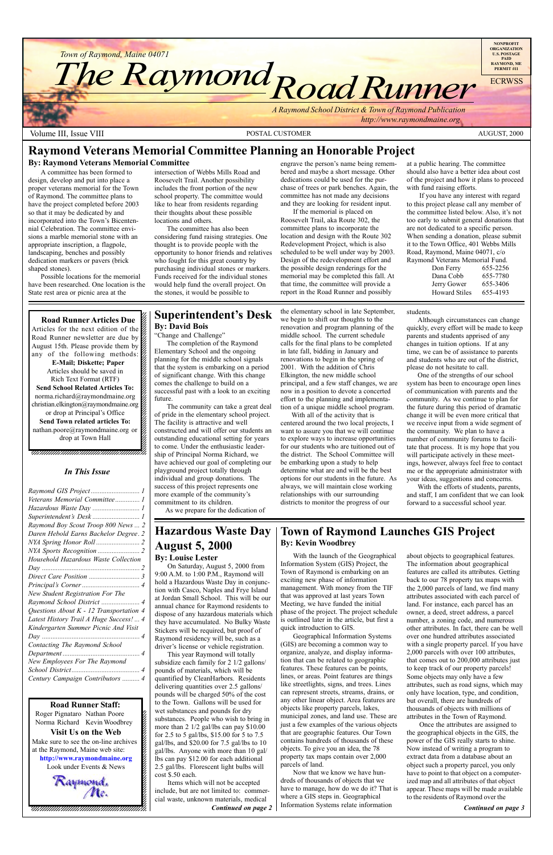*Town of Raymond, Maine 04071*

*Road Runner Town of Raymond, Maine 04071*<br>The Raymond Raymond

Volume III, Issue VIII **POSTAL CUSTOMER** POSTAL CUSTOMER AUGUST, 2000

*A Raymond School District & Town of Raymond Publication*

 *http://www.raymondmaine.org*

 $\blacksquare$  $1235678901234567890123456789012345678901234567890123456789012345678901234567890123456789012345678901234567890123456789012345678901234567890123456789012345678901234567890123456789012345678901234567890123456789012345678901$  $1235678901234587890123456789012345678901234567890123456789012345678901234567890123456789012345678901234567890123456789012345678901234567890123456789012345678901234567890123456789012345678901234567890123456789012345678901$ 12345678901234567890123456789012123456789012345678 12345678901234567890123456789012123456789012345678

Roger Pignataro Nathan Poore & Norma Richard Kevin Woodbrey  $18.8$ **Visit Us on the Web**  $1235678901234567890123456789012345678901234567890123456789012345678901234567890123456789012345678901234567890123456789012345678901234567890123456789012345678901234567890123456789012345678901234567890123456789012345678901$ Make sure to see the on-line archives  $\%$ at the Raymond, Maine web site:  $\&$ 12345678901234567890123456789012123456789012345678 **http://www.raymondmaine.org** Look under Events  $&$  News 12345678901234567890123456789012123456789012345678 12345678901234567890123456789012123456789012345678

Raymond.<br>Me. 12345678901234567890123456789012123456789012345678 12345678901234567890123456789012123456789012345678  $18.8$  8  $\pm$  8  $\pm$  8  $\pm$  8  $\pm$  8  $\pm$  8  $\pm$  8  $\pm$  8  $\pm$  8  $\pm$  8  $\pm$  8  $\pm$  8  $\pm$  8  $\pm$  8  $\pm$  8  $\pm$  8  $\pm$  8  $\pm$  8  $\pm$  8  $\pm$  8  $\pm$  8  $\pm$  8  $\pm$  8  $\pm$  8  $\pm$  8  $\pm$  8  $\pm$  8  $\pm$  8  $\pm$  8  $\pm$  8  $\pm$  8  $\$ 12345678901234567890123456789012123456789012345678 , 123456789123456789123456789123456789123456789123

**NONPROFIT ORGANIZATION U.S. POSTAGE PAID RAYMOND, ME PERMIT #11 ECRWSS** 

12345678901234567890123456789012345678901234567890123456789012345678901234567890123456789012345678901234567890 **Road Runner Staff:**

engrave the person's name being remembered and maybe a short message. Other dedications could be used for the purchase of trees or park benches. Again, the committee has not made any decisions and they are looking for resident input.

### **Town of Raymond Launches GIS Project By: Kevin Woodbrey**

Stickers will be required, but proof of Raymond residency will be, such as a driver's license or vehicle registration.

about objects to geographical features. The information about geographical features are called its attributes. Getting back to our 78 property tax maps with the 2,000 parcels of land, we find many attributes associated with each parcel of land. For instance, each parcel has an owner, a deed, street address, a parcel number, a zoning code, and numerous other attributes. In fact, there can be well over one hundred attributes associated with a single property parcel. If you have 2,000 parcels with over 100 attributes, that comes out to 200,000 attributes just to keep track of our property parcels! Some objects may only have a few attributes, such as road signs, which may only have location, type, and condition, but overall, there are hundreds of thousands of objects with millions of attributes in the Town of Raymond. Once the attributes are assigned to the geographical objects in the GIS, the power of the GIS really starts to shine. Now instead of writing a program to extract data from a database about an object such a property parcel, you only have to point to that object on a computerized map and all attributes of that object appear. These maps will be made available to the residents of Raymond over the

### **Superintendentís Desk By: David Bois**

"Change and Challenge"

The completion of the Raymond Elementary School and the ongoing planning for the middle school signals that the system is embarking on a period of significant change. With this change comes the challenge to build on a successful past with a look to an exciting future.

The community can take a great deal of pride in the elementary school project. The facility is attractive and well constructed and will offer our students an outstanding educational setting for years to come. Under the enthusiastic leadership of Principal Norma Richard, we have achieved our goal of completing our playground project totally through individual and group donations. The success of this project represents one more example of the community's commitment to its children.

As we prepare for the dedication of

# **Raymond Veterans Memorial Committee Planning an Honorable Project**

### **By: Raymond Veterans Memorial Committee**

With the launch of the Geographical Information System (GIS) Project, the Town of Raymond is embarking on an exciting new phase of information management. With money from the TIF that was approved at last years Town Meeting, we have funded the initial phase of the project. The project schedule is outlined later in the article, but first a quick introduction to GIS. Geographical Information Systems (GIS) are becoming a common way to organize, analyze, and display information that can be related to geographic features. These features can be points, lines, or areas. Point features are things like streetlights, signs, and trees. Lines can represent streets, streams, drains, or any other linear object. Area features are objects like property parcels, lakes, municipal zones, and land use. These are just a few examples of the various objects that are geographic features. Our Town contains hundreds of thousands of these objects. To give you an idea, the 78 property tax maps contain over 2,000 parcels of land. Now that we know we have hundreds of thousands of objects that we have to manage, how do we do it? That is where a GIS steps in. Geographical Information Systems relate information *Continued on page 2 Continued on page 3*

A committee has been formed to design, develop and put into place a proper veterans memorial for the Town of Raymond. The committee plans to have the project completed before 2003 so that it may be dedicated by and incorporated into the Town's Bicentennial Celebration. The committee envisions a marble memorial stone with an appropriate inscription, a flagpole, landscaping, benches and possibly dedication markers or pavers (brick shaped stones).

Possible locations for the memorial have been researched. One location is the State rest area or picnic area at the

12345678901234567890123456789012345678901234567890123456789012345678901234567890123456789012345678901234567890  $1235678901234567890123456789012345678901234567890123456789012345678901234567890123456789012345678901234567890123456789012345678901234567890123456789012345678901234567890123456789012345678901234567890123456789012345678901$  intersection of Webbs Mills Road and Roosevelt Trail. Another possibility includes the front portion of the new school property. The committee would like to hear from residents regarding their thoughts about these possible locations and others.

The committee has also been considering fund raising strategies. One thought is to provide people with the opportunity to honor friends and relatives who fought for this great country by purchasing individual stones or markers. Funds received for the individual stones would help fund the overall project. On the stones, it would be possible to

If the memorial is placed on Roosevelt Trail, aka Route 302, the committee plans to incorporate the location and design with the Route 302 Redevelopment Project, which is also scheduled to be well under way by 2003. Design of the redevelopment effort and the possible design renderings for the memorial may be completed this fall. At that time, the committee will provide a report in the Road Runner and possibly

at a public hearing. The committee should also have a better idea about cost of the project and how it plans to proceed with fund raising efforts.

If you have any interest with regard to this project please call any member of the committee listed below. Also, it's not too early to submit general donations that are not dedicated to a specific person. When sending a donation, please submit it to the Town Office, 401 Webbs Mills Road, Raymond, Maine 04071, c/o Raymond Veterans Memorial Fund.

| .                    |          |  |  |  |
|----------------------|----------|--|--|--|
| Don Ferry            | 655-2256 |  |  |  |
| Dana Cobb            | 655-7780 |  |  |  |
| Jerry Gower          | 655-3406 |  |  |  |
| <b>Howard Stiles</b> | 655-4193 |  |  |  |
|                      |          |  |  |  |

**Road Runner Articles Due**  $1235678901234567890123456789012345678901234567890123456789012345678901234567890123456789012345678901234567890123456789012345678901234567890123456789012345678901234567890123456789012345678901234567890123456789012345678901$ Articles for the next edition of the  $\mathscr{L}$  $1235678901234587890123456789012345678901234567890123456789012345678901234567890123456789012345678901234567890123456789012345678901234567890123456789012345678901234567890123456789012345678901234567890123456789012345678901$ Road Runner newsletter are due by  $\%$ August 15th. Please provide them by  $\mathscr{L}$ any of the following methods: **E-Mail; Diskette; Paper** 12345678901234567890123456789012123456789012345678 Articles should be saved in  $\mathscr{L}$  $1235678901234567890123456789012345678901234567890123456789012345678901234567890123456789012345678901234567890123456789012345678901234567890123456789012345678901234567890123456789012345678901234567890123456789012345678901$ Rich Text Format (RTF) 12345678901234567890123456789012123456789012345678 **Send School Related Articles To:** norma.richard@raymondmaine.org christian.elkington@raymondmaine.org 12345678901234567890123456789012123456789012345678 or drop at Principal's Office  $\mathscr{C}$ **Send Town related articles To:**  $1235678901234567890123456789012345678901234567890123456789012345678901234567890123456789012345678901234567890123456789012345678901234567890123456789012345678901234567890123456789012345678901234567890123456789012345678901$ nathan.poore@raymondmaine.org or  $\mathscr{D}$  $1235678901234567890123456789012345678901234567890123456789012345678901234567890123456789012345678901234567890123456789012345678901234567890123456789012345678901234567890123456789012345678901234567890123456789012345678901$ drop at Town Hall  $\otimes$ 

# **Hazardous Waste Day August 5, 2000**

### **By: Louise Lester**

On Saturday, August 5, 2000 from 9:00 A.M. to 1:00 P.M., Raymond will hold a Hazardous Waste Day in conjunction with Casco, Naples and Frye Island at Jordan Small School. This will be our annual chance for Raymond residents to dispose of any hazardous materials which they have accumulated. No Bulky Waste

This year Raymond will totally subsidize each family for 2 1/2 gallons/ pounds of materials, which will be quantified by CleanHarbors. Residents delivering quantities over 2.5 gallons/ pounds will be charged 50% of the cost to the Town. Gallons will be used for wet substances and pounds for dry substances. People who wish to bring in more than 2 1/2 gal/lbs can pay \$10.00 for 2.5 to 5 gal/lbs, \$15.00 for 5 to 7.5 gal/lbs, and \$20.00 for 7.5 gal/lbs to 10 gal/lbs. Anyone with more than 10 gal/ lbs can pay \$12.00 for each additional 2.5 gal/lbs. Florescent light bulbs will cost \$.50 each.

Items which will not be accepted include, but are not limited to: commercial waste, unknown materials, medical

# *In This Issue*

| Veterans Memorial Committee 1             |
|-------------------------------------------|
| Hazardous Waste Day  1                    |
| Superintendent's Desk  1                  |
| Raymond Boy Scout Troop 800 News  2       |
| Daren Hebold Earns Bachelor Degree. 2     |
|                                           |
|                                           |
| Household Hazardous Waste Collection      |
|                                           |
|                                           |
|                                           |
| New Student Registration For The          |
| Raymond School District  4                |
| Questions About $K - 12$ Transportation 4 |
| Latest History Trail A Huge Success!  4   |
| Kindergarten Summer Picnic And Visit      |
| $\overline{4}$                            |
| Contacting The Raymond School             |
|                                           |
| New Employees For The Raymond             |
|                                           |
| Century Campaign Contributors  4          |
|                                           |

the elementary school in late September, we begin to shift our thoughts to the renovation and program planning of the middle school. The current schedule calls for the final plans to be completed in late fall, bidding in January and renovations to begin in the spring of 2001. With the addition of Chris Elkington, the new middle school principal, and a few staff changes, we are now in a position to devote a concerted effort to the planning and implementation of a unique middle school program.

With all of the activity that is centered around the two local projects, I want to assure you that we will continue to explore ways to increase opportunities for our students who are tuitioned out of the district. The School Committee will be embarking upon a study to help determine what are and will be the best options for our students in the future. As always, we will maintain close working relationships with our surrounding districts to monitor the progress of our

students.

Although circumstances can change quickly, every effort will be made to keep parents and students apprised of any changes in tuition options. If at any time, we can be of assistance to parents and students who are out of the district, please do not hesitate to call.

One of the strengths of our school system has been to encourage open lines of communication with parents and the community. As we continue to plan for the future during this period of dramatic change it will be even more critical that we receive input from a wide segment of the community. We plan to have a number of community forums to facilitate that process. It is my hope that you will participate actively in these meetings, however, always feel free to contact me or the appropriate administrator with your ideas, suggestions and concerns.

With the efforts of students, parents, and staff, I am confident that we can look forward to a successful school year.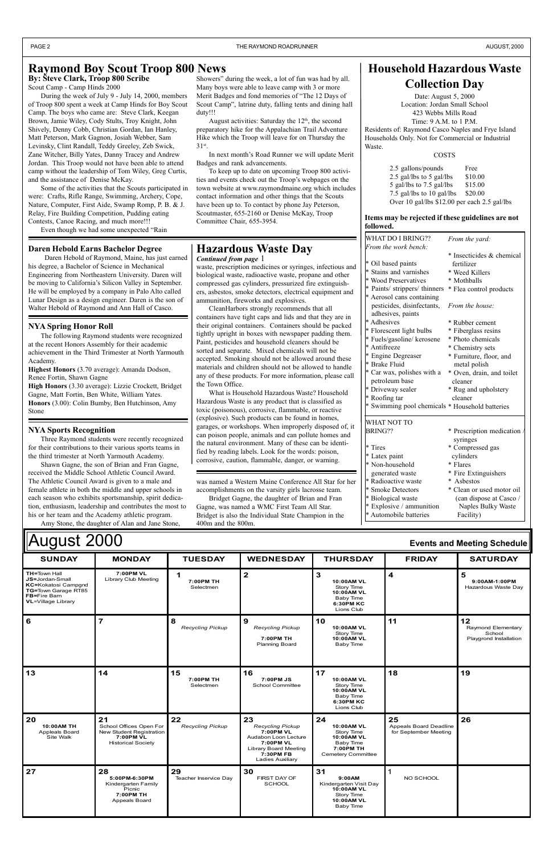| August 2000<br><b>Events and Meeting Schedule</b>                                                                                 |                                                                                                     |                               |                                                                                                                                                  |                                                                                                     |                                                              |                                                              |
|-----------------------------------------------------------------------------------------------------------------------------------|-----------------------------------------------------------------------------------------------------|-------------------------------|--------------------------------------------------------------------------------------------------------------------------------------------------|-----------------------------------------------------------------------------------------------------|--------------------------------------------------------------|--------------------------------------------------------------|
| <b>SUNDAY</b>                                                                                                                     | <b>MONDAY</b>                                                                                       | <b>TUESDAY</b>                | <b>WEDNESDAY</b>                                                                                                                                 | <b>THURSDAY</b>                                                                                     | <b>FRIDAY</b>                                                | <b>SATURDAY</b>                                              |
| <b>TH=Town Hall</b><br>JS=Jordan-Small<br><b>KC=Kokatosi Campgnd</b><br>TG=Town Garage RT85<br>FB=Fire Barn<br>VL=Village Library | 7:00PM VL<br>Library Club Meeting                                                                   | 1<br>7:00PM TH<br>Selectmen   | $\overline{\mathbf{2}}$                                                                                                                          | 3<br>10:00AM VL<br>Story Time<br>10:00AM VL<br>Baby Time<br>6:30PM KC<br>Lions Club                 | $\overline{\mathbf{4}}$                                      | 5<br>9:00AM-1:00PM<br>Hazardous Waste Day                    |
| 6                                                                                                                                 | $\overline{7}$                                                                                      | 8<br><b>Recycling Pickup</b>  | 9<br><b>Recycling Pickup</b><br>7:00PM TH<br>Planning Board                                                                                      | 10<br>10:00AM VL<br>Story Time<br>10:00AM VL<br>Baby Time                                           | 11                                                           | 12<br>Raymond Elementary<br>School<br>Playgrond Installation |
| 13                                                                                                                                | 14                                                                                                  | 15<br>7:00PM TH<br>Selectmen  | 16<br>7:00PM JS<br>School Committee                                                                                                              | 17<br>10:00AM VL<br>Story Time<br>10:00AM VL<br>Baby Time<br>6:30PM KC<br>Lions Club                | 18                                                           | 19                                                           |
| 20<br>10:00AM TH<br><b>Appleals Board</b><br>Site Walk                                                                            | 21<br>School Offices Open For<br>New Student Registration<br>7:00PM VL<br><b>Historical Society</b> | 22<br><b>Recycling Pickup</b> | 23<br><b>Recycling Pickup</b><br>7:00PM VL<br>Audabon Loon Lecture<br>7:00PM VL<br><b>Library Board Meeting</b><br>7:30PM FB<br>Ladies Auxiliary | 24<br>10:00AM VL<br>Story Time<br><b>10:00AM VL</b><br>Baby Time<br>7:00PM TH<br>Cemetery Committee | 25<br><b>Appeals Board Deadline</b><br>for September Meeting | 26                                                           |
| 27                                                                                                                                | 28<br>5:00PM-6:30PM<br>Kindergarten Family<br>Picnic<br>7:00PM TH<br>Appeals Board                  | 29<br>Teacher Inservice Day   | 30<br><b>FIRST DAY OF</b><br><b>SCHOOL</b>                                                                                                       | 31<br>9:00AM<br>Kindergarten Visit Day<br>10:00AM VL<br>Story Time<br>10:00AM VL<br>Baby Time       | 1<br>NO SCHOOL                                               |                                                              |

waste, prescription medicines or syringes, infectious and biological waste, radioactive waste, propane and other compressed gas cylinders, pressurized fire extinguishers, asbestos, smoke detectors, electrical equipment and ammunition, fireworks and explosives.

CleanHarbors strongly recommends that all containers have tight caps and lids and that they are in their original containers. Containers should be packed tightly upright in boxes with newspaper padding them. Paint, pesticides and household cleaners should be sorted and separate. Mixed chemicals will not be accepted. Smoking should not be allowed around these materials and children should not be allowed to handle any of these products. For more information, please call the Town Office.

PAGE 2 **THE RAYMOND ROADRUNNER THE RAYMOND ROADRUNNER AUGUST.** 2000

### **Raymond Boy Scout Troop 800 News**

**By: Števe Clark, Troop 800 Scribe** 

Showers" during the week, a lot of fun was had by all. Many boys were able to leave camp with 3 or more Merit Badges and fond memories of "The 12 Days of Scout Camp", latrine duty, falling tents and dining hall duty!!!

August activities: Saturday the  $12<sup>th</sup>$ , the second preparatory hike for the Appalachian Trail Adventure Hike which the Troop will leave for on Thursday the 31st.

In next month's Road Runner we will update Merit Badges and rank advancements.

| WHAT DO I BRING??                               | From the yard:              |
|-------------------------------------------------|-----------------------------|
| From the work bench:                            |                             |
|                                                 | * Insecticides & chemical   |
| * Oil based paints                              | fertilizer                  |
| * Stains and varnishes                          | * Weed Killers              |
| * Wood Preservatives                            | * Mothballs                 |
| * Paints/ strippers/ thinners                   | * Flea control products     |
| * Aerosol cans containing                       |                             |
| pesticides, disinfectants,                      | From the house:             |
| adhesives, paints                               |                             |
| * Adhesives                                     | * Rubber cement             |
| * Florescent light bulbs                        | * Fiberglass resins         |
| * Fuels/gasoline/ kerosene                      | * Photo chemicals           |
| * Antifreeze                                    | * Chemistry sets            |
| * Engine Degreaser                              | * Furniture, floor, and     |
| * Brake Fluid                                   | metal polish                |
| * Car wax, polishes with a                      | * Oven, drain, and toilet   |
| petroleum base                                  | cleaner                     |
| * Driveway sealer                               | * Rug and upholstery        |
| * Roofing tar                                   | cleaner                     |
| * Swimming pool chemicals * Household batteries |                             |
| WHAT NOT TO                                     |                             |
| <b>BRING??</b>                                  | * Prescription medication / |
|                                                 | syringes                    |
| * Tires                                         | * Compressed gas            |
| * Latex paint                                   | cylinders                   |
| * Non-household                                 | * Flares                    |
| generated waste                                 | * Fire Extinguishers        |
| * Radioactive waste                             | * Asbestos                  |
| * Smoke Detectors                               | * Clean or used motor oil   |
| * Biological waste                              | (can dispose at Casco /     |
| * Explosive / ammunition                        | Naples Bulky Waste          |
| * Automobile batteries                          | Facility)                   |

### **Items may be rejected if these guidelines are not followed.**

Scout Camp - Camp Hinds 2000

During the week of July 9 - July 14, 2000, members of Troop 800 spent a week at Camp Hinds for Boy Scout Camp. The boys who came are: Steve Clark, Keegan Brown, Jamie Wiley, Cody Stults, Troy Knight, John Shively, Denny Cobb, Christian Gordan, Ian Hanley, Matt Peterson, Mark Gagnon, Josiah Webber, Sam Levinsky, Clint Randall, Teddy Greeley, Zeb Swick, Zane Witcher, Billy Yates, Danny Tracey and Andrew Jordan. This Troop would not have been able to attend camp without the leadership of Tom Wiley, Greg Curtis, and the assistance of Denise McKay.

Some of the activities that the Scouts participated in were: Crafts, Rifle Range, Swimming, Archery, Cope, Nature, Computer, First Aide, Swamp Romp, P. B. & J. Relay, Fire Building Competition, Pudding eating Contests, Canoe Racing, and much more!!!

Even though we had some unexpected "Rain

To keep up to date on upcoming Troop 800 activities and events check out the Troop's webpages on the town website at www.raymondmaine.org which includes contact information and other things that the Scouts have been up to. To contact by phone Jay Peterson, Scoutmaster, 655-2160 or Denise McKay, Troop Committee Chair, 655-3954.

### **Hazardous Waste Day** *Continued from page* 1

# **Household Hazardous Waste Collection Day**

Date: August 5, 2000 Location: Jordan Small School 423 Webbs Mills Road Time: 9 A.M. to 1 P.M. Residents of: Raymond Casco Naples and Frye Island Households Only. Not for Commercial or Industrial Waste.

COSTS

What is Household Hazardous Waste? Household Hazardous Waste is any product that is classified as toxic (poisonous), corrosive, flammable, or reactive (explosive). Such products can be found in homes, garages, or workshops. When improperly disposed of, it can poison people, animals and can pollute homes and the natural environment. Many of these can be identified by reading labels. Look for the words: poison, corrosive, caution, flammable, danger, or warning.

| 2.5 gallons/pounds                           | Free    |
|----------------------------------------------|---------|
| 2.5 gal/lbs to 5 gal/lbs                     | \$10.00 |
| 5 gal/lbs to 7.5 gal/lbs                     | \$15.00 |
| 7.5 gal/lbs to 10 gal/lbs                    | \$20.00 |
| Over 10 gal/lbs \$12.00 per each 2.5 gal/lbs |         |

### **Daren Hebold Earns Bachelor Degree**

 Daren Hebold of Raymond, Maine, has just earned his degree, a Bachelor of Science in Mechanical Engineering from Northeastern University. Daren will be moving to California's Silicon Valley in September. He will be employed by a company in Palo Alto called Lunar Design as a design engineer. Daren is the son of Walter Hebold of Raymond and Ann Hall of Casco.

### **NYA Spring Honor Roll**

The following Raymond students were recognized at the recent Honors Assembly for their academic achievement in the Third Trimester at North Yarmouth Academy.

**Highest Honors** (3.70 average): Amanda Dodson, Renee Fortin, Shawn Gagne

**High Honors** (3.30 average): Lizzie Crockett, Bridget Gagne, Matt Fortin, Ben White, William Yates. **Honors** (3.00): Colin Bumby, Ben Hutchinson, Amy Stone

### **NYA Sports Recognition**

Three Raymond students were recently recognized for their contributions to their various sports teams in the third trimester at North Yarmouth Academy.

Shawn Gagne, the son of Brian and Fran Gagne, received the Middle School Athletic Council Award. The Athletic Council Award is given to a male and female athlete in both the middle and upper schools in each season who exhibits sportsmanship, spirit dedication, enthusiasm, leadership and contributes the most to his or her team and the Academy athletic program.

Amy Stone, the daughter of Alan and Jane Stone,

was named a Western Maine Conference All Star for her accomplishments on the varsity girls lacrosse team.

Bridget Gagne, the daughter of Brian and Fran Gagne, was named a WMC First Team All Star. Bridget is also the Individual State Champion in the 400m and the 800m.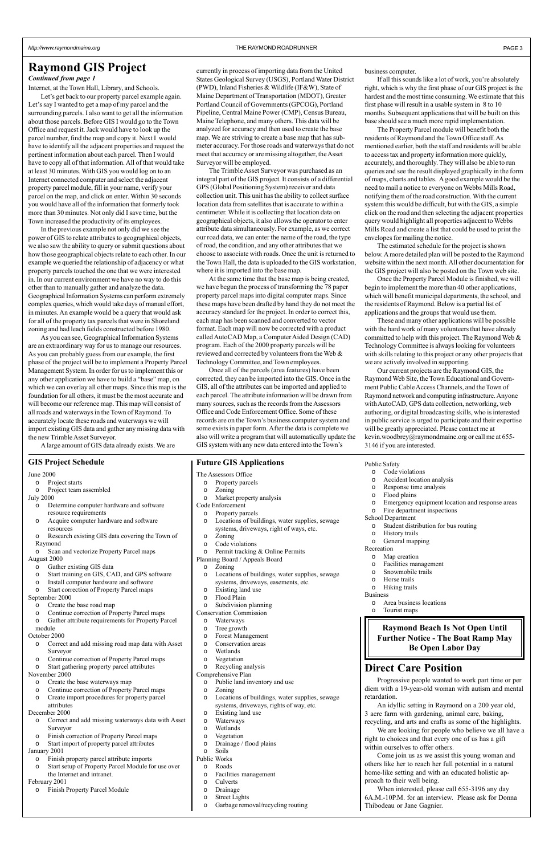# **Raymond GIS Project** currently in process of importing data from the United business computer.

Internet, at the Town Hall, Library, and Schools.

Let's get back to our property parcel example again. Let's say I wanted to get a map of my parcel and the surrounding parcels. I also want to get all the information about those parcels. Before GIS I would go to the Town Office and request it. Jack would have to look up the parcel number, find the map and copy it. Next I would have to identify all the adjacent properties and request the pertinent information about each parcel. Then I would have to copy all of that information. All of that would take at least 30 minutes. With GIS you would log on to an Internet connected computer and select the adjacent property parcel module, fill in your name, verify your parcel on the map, and click on enter. Within 30 seconds you would have all of the information that formerly took more than 30 minutes. Not only did I save time, but the Town increased the productivity of its employees.

In the previous example not only did we see the power of GIS to relate attributes to geographical objects, we also saw the ability to query or submit questions about how those geographical objects relate to each other. In our example we queried the relationship of adjacency or what property parcels touched the one that we were interested in. In our current environment we have no way to do this other than to manually gather and analyze the data. Geographical Information Systems can perform extremely complex queries, which would take days of manual effort, in minutes. An example would be a query that would ask for all of the property tax parcels that were in Shoreland zoning and had leach fields constructed before 1980.

As you can see, Geographical Information Systems are an extraordinary way for us to manage our resources. As you can probably guess from our example, the first phase of the project will be to implement a Property Parcel Management System. In order for us to implement this or any other application we have to build a "base" map, on which we can overlay all other maps. Since this map is the foundation for all others, it must be the most accurate and will become our reference map. This map will consist of all roads and waterways in the Town of Raymond. To accurately locate these roads and waterways we will import existing GIS data and gather any missing data with the new Trimble Asset Surveyor.

Once all of the parcels (area features) have been corrected, they can be imported into the GIS. Once in the GIS, all of the attributes can be imported and applied to each parcel. The attribute information will be drawn from many sources, such as the records from the Assessors Office and Code Enforcement Office. Some of these records are on the Town's business computer system and some exists in paper form. After the data is complete we also will write a program that will automatically update the GIS system with any new data entered into the Town's

### **GIS Project Schedule Future GIS Applications**

A large amount of GIS data already exists. We are

currently in process of importing data from the United States Geological Survey (USGS), Portland Water District (PWD), Inland Fisheries & Wildlife (IF&W), State of Maine Department of Transportation (MDOT), Greater Portland Council of Governments (GPCOG), Portland Pipeline, Central Maine Power (CMP), Census Bureau, Maine Telephone, and many others. This data will be analyzed for accuracy and then used to create the base map. We are striving to create a base map that has submeter accuracy. For those roads and waterways that do not meet that accuracy or are missing altogether, the Asset Surveyor will be employed.

If all this sounds like a lot of work, you're absolutely right, which is why the first phase of our GIS project is the hardest and the most time consuming. We estimate that this first phase will result in a usable system in 8 to 10 months. Subsequent applications that will be built on this base should see a much more rapid implementation.

The Trimble Asset Surveyor was purchased as an integral part of the GIS project. It consists of a differential GPS (Global Positioning System) receiver and data collection unit. This unit has the ability to collect surface location data from satellites that is accurate to within a centimeter. While it is collecting that location data on geographical objects, it also allows the operator to enter attribute data simultaneously. For example, as we correct our road data, we can enter the name of the road, the type of road, the condition, and any other attributes that we choose to associate with roads. Once the unit is returned to the Town Hall, the data is uploaded to the GIS workstation, where it is imported into the base map.

At the same time that the base map is being created, we have begun the process of transforming the 78 paper property parcel maps into digital computer maps. Since these maps have been drafted by hand they do not meet the accuracy standard for the project. In order to correct this, each map has been scanned and converted to vector format. Each map will now be corrected with a product called AutoCAD Map, a Computer Aided Design (CAD) program. Each of the 2000 property parcels will be reviewed and corrected by volunteers from the Web & Technology Committee, and Town employees.

# **Direct Care Position**

Progressive people wanted to work part time or per diem with a 19-year-old woman with autism and mental retardation.

- o Iree growth
- o Forest Management
- o Conservation areas
- o Wetlands
- o Vegetation
- o Recycling analysis

An idyllic setting in Raymond on a 200 year old, 3 acre farm with gardening, animal care, baking, recycling, and arts and crafts as some of the highlights.

We are looking for people who believe we all have a right to choices and that every one of us has a gift within ourselves to offer others.

Come join us as we assist this young woman and others like her to reach her full potential in a natural home-like setting and with an educated holistic approach to their well being.

When interested, please call 655-3196 any day 6A.M.-10P.M. for an interview. Please ask for Donna Thibodeau or Jane Gagnier.

**Raymond Beach Is Not Open Until Further Notice - The Boat Ramp May Be Open Labor Day**

### *Continued from page 1*

The Property Parcel module will benefit both the residents of Raymond and the Town Office staff. As mentioned earlier, both the staff and residents will be able to access tax and property information more quickly, accurately, and thoroughly. They will also be able to run queries and see the result displayed graphically in the form of maps, charts and tables. A good example would be the need to mail a notice to everyone on Webbs Mills Road, notifying them of the road construction. With the current system this would be difficult, but with the GIS, a simple click on the road and then selecting the adjacent properties query would highlight all properties adjacent to Webbs Mills Road and create a list that could be used to print the envelopes for mailing the notice.

The estimated schedule for the project is shown below. A more detailed plan will be posted to the Raymond website within the next month. All other documentation for the GIS project will also be posted on the Town web site.

Once the Property Parcel Module is finished, we will begin to implement the more than 40 other applications, which will benefit municipal departments, the school, and the residents of Raymond. Below is a partial list of applications and the groups that would use them.

These and many other applications will be possible with the hard work of many volunteers that have already committed to help with this project. The Raymond Web & Technology Committee is always looking for volunteers with skills relating to this project or any other projects that we are actively involved in supporting.

Our current projects are the Raymond GIS, the Raymond Web Site, the Town Educational and Government Public Cable Access Channels, and the Town of Raymond network and computing infrastructure. Anyone with AutoCAD, GPS data collection, networking, web authoring, or digital broadcasting skills, who is interested in public service is urged to participate and their expertise will be greatly appreciated. Please contact me at kevin.woodbrey@raymondmaine.org or call me at 655- 3146 if you are interested.

#### June 2000

- o Project starts
- o Project team assembled
- July 2000
	- o Determine computer hardware and software resource requirements
	- o Acquire computer hardware and software resources
	- o Research existing GIS data covering the Town of Raymond
	- o Scan and vectorize Property Parcel maps

### August 2000

- o Gather existing GIS data
- o Start training on GIS, CAD, and GPS software
- o Install computer hardware and software
- o Start correction of Property Parcel maps
- September 2000
	- o Create the base road map
- o Continue correction of Property Parcel maps o Gather attribute requirements for Property Parcel
- 

#### module October 2000

- o Correct and add missing road map data with Asset Surveyor
- o Continue correction of Property Parcel maps
- o Start gathering property parcel attributes

November 2000

- o Create the base waterways map
- o Continue correction of Property Parcel maps
- o Create import procedures for property parcel attributes

December 2000

- o Correct and add missing waterways data with Asset Surveyor
- o Finish correction of Property Parcel maps
- o Start import of property parcel attributes January 2001
	- o Finish property parcel attribute imports
	- o Start setup of Property Parcel Module for use over the Internet and intranet.

### February 2001

o Finish Property Parcel Module

- The Assessors Office
- o Property parcels
	-
- o Zoning
- o Market property analysis
- Code Enforcement
	- o Property parcels
	- o Locations of buildings, water supplies, sewage systems, driveways, right of ways, etc.
	- o Zoning
	- o Code violations
- o Permit tracking & Online Permits
- Planning Board / Appeals Board
	- o Zoning
	- o Locations of buildings, water supplies, sewage systems, driveways, easements, etc.
	- o Existing land use
	- o Flood Plain
- o Subdivision planning
- Conservation Commission
	- o Waterways

Comprehensive Plan

- o Public land inventory and use
- o Zoning
- o Locations of buildings, water supplies, sewage systems, driveways, rights of way, etc.
- o Existing land use
- o Waterways
- o Wetlands
- o Vegetation
- o Drainage / flood plains
- o Soils
- Public Works
	- o Roads
	- o Facilities management
	- o Culverts
	- o Drainage
	- o Street Lights
	- o Garbage removal/recycling routing

### Public Safety

- o Code violations
- o Accident location analysis
- o Response time analysis
- o Flood plains
- o Emergency equipment location and response areas
- o Fire department inspections
- School Department
	- o Student distribution for bus routing
	- o History trails
- o General mapping
- Recreation
	- o Map creation
	- o Facilities management
	- o Snowmobile trails
	- o Horse trails
	- o Hiking trails
- Business
	- o Area business locations
	- o Tourist maps
- 
- -
	-
	-
	-
	-